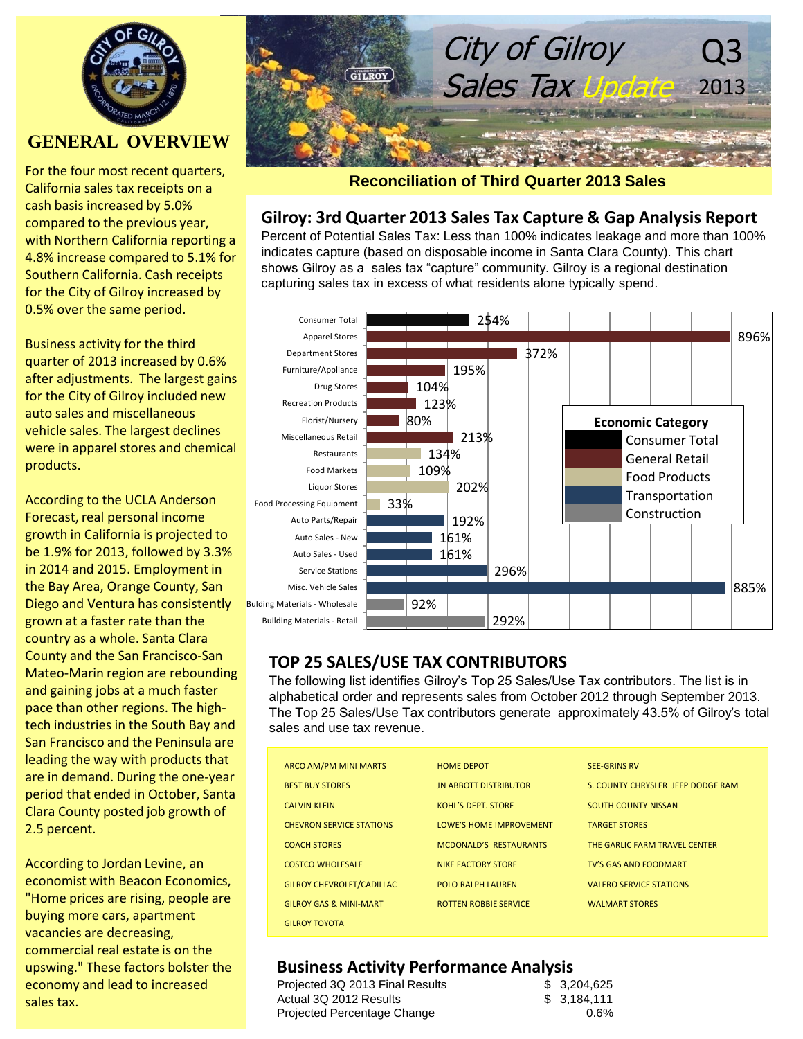

## **GENERAL OVERVIEW**

For the four most recent quarters, California sales tax receipts on a cash basis increased by 5.0% compared to the previous year, with Northern California reporting a 4.8% increase compared to 5.1% for Southern California. Cash receipts for the City of Gilroy increased by 0.5% over the same period.

Business activity for the third quarter of 2013 increased by 0.6% after adjustments. The largest gains for the City of Gilroy included new auto sales and miscellaneous vehicle sales. The largest declines were in apparel stores and chemical products.

According to the UCLA Anderson Forecast, real personal income growth in California is projected to be 1.9% for 2013, followed by 3.3% in 2014 and 2015. Employment in the Bay Area, Orange County, San Diego and Ventura has consistently grown at a faster rate than the country as a whole. Santa Clara County and the San Francisco-San Mateo-Marin region are rebounding and gaining jobs at a much faster pace than other regions. The hightech industries in the South Bay and San Francisco and the Peninsula are leading the way with products that are in demand. During the one-year period that ended in October, Santa Clara County posted job growth of 2.5 percent.

According to Jordan Levine, an economist with Beacon Economics, "Home prices are rising, people are buying more cars, apartment vacancies are decreasing, commercial real estate is on the upswing." These factors bolster the economy and lead to increased sales tax.



#### **Reconciliation of Third Quarter 2013 Sales**

## **Gilroy: 3rd Quarter 2013 Sales Tax Capture & Gap Analysis Report**

Percent of Potential Sales Tax: Less than 100% indicates leakage and more than 100% indicates capture (based on disposable income in Santa Clara County). This chart shows Gilroy as a sales tax "capture" community. Gilroy is a regional destination capturing sales tax in excess of what residents alone typically spend.



## **TOP 25 SALES/USE TAX CONTRIBUTORS**

The following list identifies Gilroy's Top 25 Sales/Use Tax contributors. The list is in alphabetical order and represents sales from October 2012 through September 2013. The Top 25 Sales/Use Tax contributors generate approximately 43.5% of Gilroy's total sales and use tax revenue.

| <b>ARCO AM/PM MINI MARTS</b>      | <b>HOME DEPOT</b>             | <b>SEE-GRINS RV</b>               |
|-----------------------------------|-------------------------------|-----------------------------------|
| <b>BEST BUY STORES</b>            | <b>JN ABBOTT DISTRIBUTOR</b>  | S. COUNTY CHRYSLER JEEP DODGE RAM |
| <b>CALVIN KLEIN</b>               | KOHL'S DEPT. STORE            | <b>SOUTH COUNTY NISSAN</b>        |
| <b>CHEVRON SERVICE STATIONS</b>   | LOWE'S HOME IMPROVEMENT       | <b>TARGET STORES</b>              |
| <b>COACH STORES</b>               | <b>MCDONALD'S RESTAURANTS</b> | THE GARLIC FARM TRAVEL CENTER     |
| <b>COSTCO WHOLESALE</b>           | NIKE FACTORY STORE            | <b>TV'S GAS AND FOODMART</b>      |
| <b>GILROY CHEVROLET/CADILLAC</b>  | <b>POLO RALPH LAUREN</b>      | <b>VALERO SERVICE STATIONS</b>    |
| <b>GILROY GAS &amp; MINI-MART</b> | <b>ROTTEN ROBBIE SERVICE</b>  | <b>WALMART STORES</b>             |
| <b>GILROY TOYOTA</b>              |                               |                                   |

### **Business Activity Performance Analysis**

| \$3,204,625 |
|-------------|
| \$3,184,111 |
| 0.6%        |
|             |